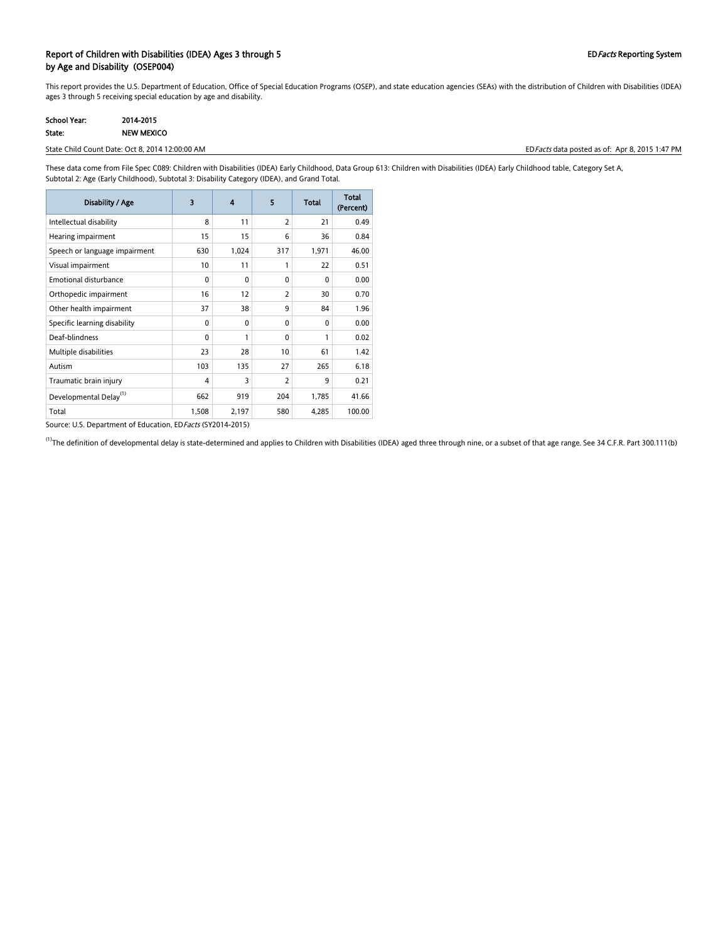### Report of Children with Disabilities (IDEA) Ages 3 through 5 EDFacts Reporting System by Age and Disability (OSEP004)

This report provides the U.S. Department of Education, Office of Special Education Programs (OSEP), and state education agencies (SEAs) with the distribution of Children with Disabilities (IDEA) ages 3 through 5 receiving special education by age and disability.

| School Year: | 2014-2015         |
|--------------|-------------------|
| State:       | <b>NEW MEXICO</b> |

#### State Child Count Date: Oct 8, 2014 12:00:00 AM **EDFacts data posted as of: Apr 8, 2015 1:47 PM** EDFacts data posted as of: Apr 8, 2015 1:47 PM

These data come from File Spec C089: Children with Disabilities (IDEA) Early Childhood, Data Group 613: Children with Disabilities (IDEA) Early Childhood table, Category Set A, Subtotal 2: Age (Early Childhood), Subtotal 3: Disability Category (IDEA), and Grand Total.

| Disability / Age                   | 3            | 4            | 5              | <b>Total</b> | <b>Total</b><br>(Percent) |
|------------------------------------|--------------|--------------|----------------|--------------|---------------------------|
| Intellectual disability            | 8            | 11           | $\overline{2}$ | 21           | 0.49                      |
| Hearing impairment                 | 15           | 15           | 6              | 36           | 0.84                      |
| Speech or language impairment      | 630          | 1,024        | 317            | 1,971        | 46.00                     |
| Visual impairment                  | 10           | 11           | 1              | 22           | 0.51                      |
| Emotional disturbance              | $\mathbf{0}$ | $\mathbf{0}$ | $\Omega$       | $\Omega$     | 0.00                      |
| Orthopedic impairment              | 16           | 12           | 2              | 30           | 0.70                      |
| Other health impairment            | 37           | 38           | 9              | 84           | 1.96                      |
| Specific learning disability       | $\mathbf{0}$ | $\mathbf{0}$ | $\Omega$       | $\Omega$     | 0.00                      |
| Deaf-blindness                     | $\mathbf{0}$ | 1            | $\Omega$       | 1            | 0.02                      |
| Multiple disabilities              | 23           | 28           | 10             | 61           | 1.42                      |
| Autism                             | 103          | 135          | 27             | 265          | 6.18                      |
| Traumatic brain injury             | 4            | 3            | 2              | 9            | 0.21                      |
| Developmental Delay <sup>(1)</sup> | 662          | 919          | 204            | 1,785        | 41.66                     |
| Total                              | 1,508        | 2,197        | 580            | 4,285        | 100.00                    |

Source: U.S. Department of Education, ED Facts (SY2014-2015)

<sup>(1)</sup>The definition of developmental delay is state-determined and applies to Children with Disabilities (IDEA) aged three through nine, or a subset of that age range. See 34 C.F.R. Part 300.111(b)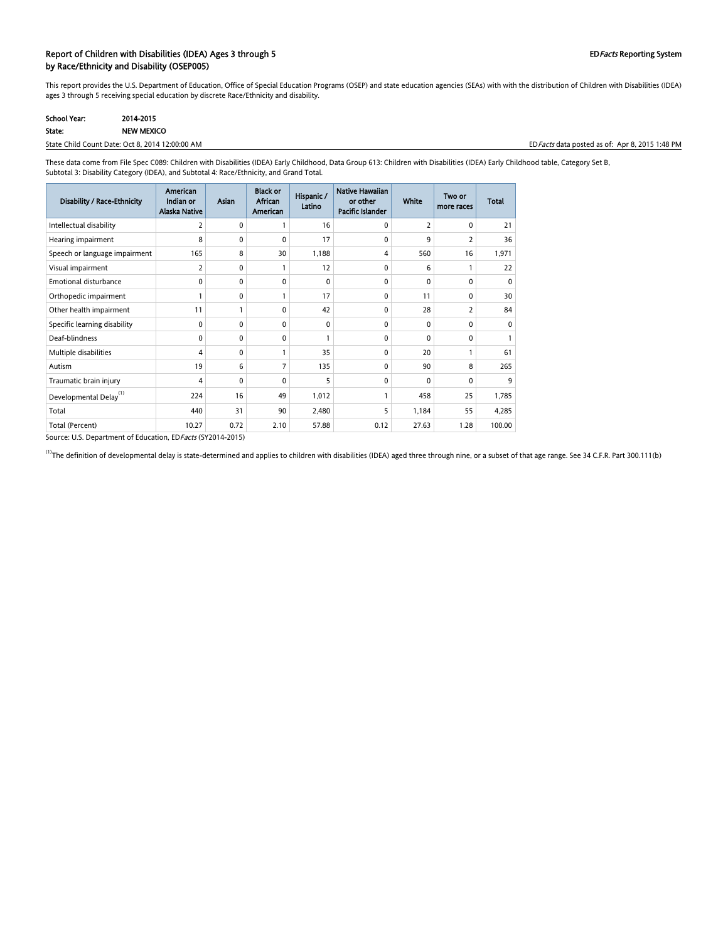#### Report of Children with Disabilities (IDEA) Ages 3 through 5 EDFacts Reporting System by Race/Ethnicity and Disability (OSEP005)

This report provides the U.S. Department of Education, Office of Special Education Programs (OSEP) and state education agencies (SEAs) with with the distribution of Children with Disabilities (IDEA) ages 3 through 5 receiving special education by discrete Race/Ethnicity and disability.

| <b>School Year:</b> | 2014-2015  |
|---------------------|------------|
| State:              | NEW MEXICO |

State Child Count Date: Oct 8, 2014 12:00:00 AM EDFacts data posted as of: Apr 8, 2015 1:48 PM

These data come from File Spec C089: Children with Disabilities (IDEA) Early Childhood, Data Group 613: Children with Disabilities (IDEA) Early Childhood table, Category Set B, Subtotal 3: Disability Category (IDEA), and Subtotal 4: Race/Ethnicity, and Grand Total.

| Disability / Race-Ethnicity        | American<br>Indian or<br><b>Alaska Native</b> | <b>Asian</b> | <b>Black or</b><br>African<br>American | Hispanic /<br>Latino | Native Hawaiian<br>or other<br>Pacific Islander | <b>White</b>   | Two or<br>more races | <b>Total</b> |
|------------------------------------|-----------------------------------------------|--------------|----------------------------------------|----------------------|-------------------------------------------------|----------------|----------------------|--------------|
| Intellectual disability            | 2                                             | 0            |                                        | 16                   | 0                                               | $\overline{2}$ | 0                    | 21           |
| Hearing impairment                 | 8                                             | $\mathbf{0}$ | $\mathbf{0}$                           | 17                   | $\Omega$                                        | 9              | 2                    | 36           |
| Speech or language impairment      | 165                                           | 8            | 30                                     | 1,188                | 4                                               | 560            | 16                   | 1,971        |
| Visual impairment                  | 2                                             | 0            |                                        | 12                   | 0                                               | 6              | 1                    | 22           |
| <b>Emotional disturbance</b>       | 0                                             | $\mathbf{0}$ | $\Omega$                               | $\Omega$             | $\mathbf{0}$                                    | $\mathbf{0}$   | 0                    | $\Omega$     |
| Orthopedic impairment              | 1                                             | $\mathbf{0}$ |                                        | 17                   | $\mathbf{0}$                                    | 11             | $\Omega$             | 30           |
| Other health impairment            | 11                                            |              | $\Omega$                               | 42                   | $\mathbf{0}$                                    | 28             | 2                    | 84           |
| Specific learning disability       | $\mathbf 0$                                   | 0            | 0                                      | 0                    | 0                                               | $\mathbf{0}$   | 0                    | 0            |
| Deaf-blindness                     | 0                                             | 0            | $\Omega$                               | $\mathbf{1}$         | $\mathbf{0}$                                    | 0              | 0                    |              |
| Multiple disabilities              | 4                                             | 0            |                                        | 35                   | $\Omega$                                        | 20             |                      | 61           |
| Autism                             | 19                                            | 6            | 7                                      | 135                  | $\Omega$                                        | 90             | 8                    | 265          |
| Traumatic brain injury             | 4                                             | $\mathbf{0}$ | $\mathbf{0}$                           | 5                    | 0                                               | $\mathbf{0}$   | 0                    | 9            |
| Developmental Delay <sup>(1)</sup> | 224                                           | 16           | 49                                     | 1,012                | 1                                               | 458            | 25                   | 1,785        |
| Total                              | 440                                           | 31           | 90                                     | 2,480                | 5                                               | 1,184          | 55                   | 4,285        |
| Total (Percent)                    | 10.27                                         | 0.72         | 2.10                                   | 57.88                | 0.12                                            | 27.63          | 1.28                 | 100.00       |

Source: U.S. Department of Education, EDFacts (SY2014-2015)

<sup>(1)</sup>The definition of developmental delay is state-determined and applies to children with disabilities (IDEA) aged three through nine, or a subset of that age range. See 34 C.F.R. Part 300.111(b)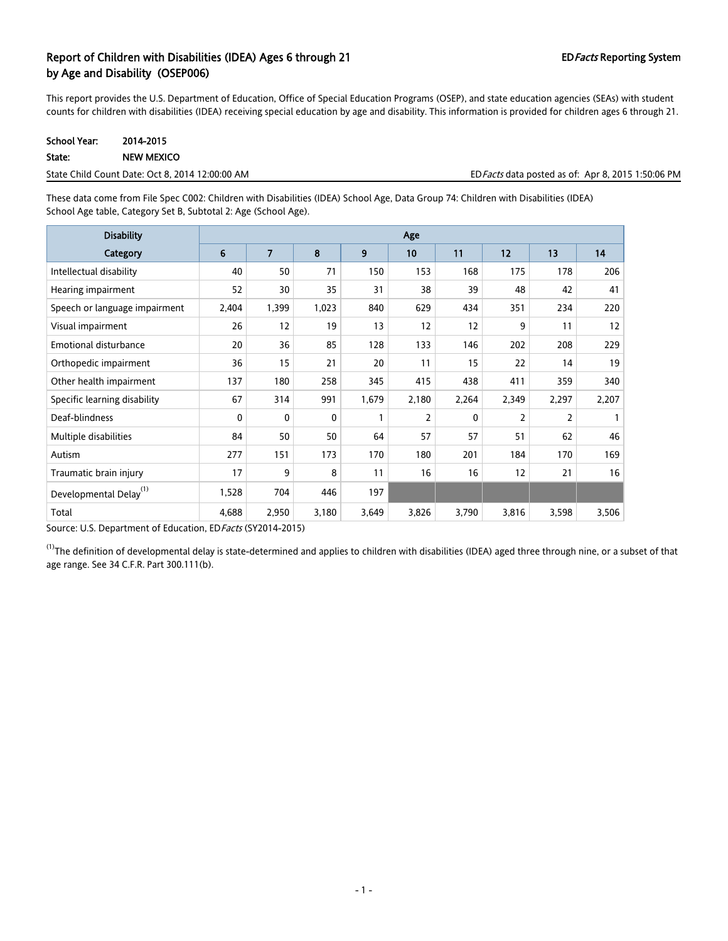## Report of Children with Disabilities (IDEA) Ages 6 through 21 EDFacts Reporting System by Age and Disability (OSEP006)

This report provides the U.S. Department of Education, Office of Special Education Programs (OSEP), and state education agencies (SEAs) with student counts for children with disabilities (IDEA) receiving special education by age and disability. This information is provided for children ages 6 through 21.

| School Year: | 2014-2015         |
|--------------|-------------------|
| State:       | <b>NEW MEXICO</b> |

State Child Count Date: Oct 8, 2014 12:00:00 AM EDFacts data posted as of: Apr 8, 2015 1:50:06 PM

These data come from File Spec C002: Children with Disabilities (IDEA) School Age, Data Group 74: Children with Disabilities (IDEA) School Age table, Category Set B, Subtotal 2: Age (School Age).

| <b>Disability</b>                  |       | Age            |       |       |                |              |                |                |       |
|------------------------------------|-------|----------------|-------|-------|----------------|--------------|----------------|----------------|-------|
| Category                           | 6     | $\overline{7}$ | 8     | 9     | 10             | 11           | 12             | 13             | 14    |
| Intellectual disability            | 40    | 50             | 71    | 150   | 153            | 168          | 175            | 178            | 206   |
| Hearing impairment                 | 52    | 30             | 35    | 31    | 38             | 39           | 48             | 42             | 41    |
| Speech or language impairment      | 2,404 | 1,399          | 1,023 | 840   | 629            | 434          | 351            | 234            | 220   |
| Visual impairment                  | 26    | 12             | 19    | 13    | 12             | 12           | 9              | 11             | 12    |
| <b>Emotional disturbance</b>       | 20    | 36             | 85    | 128   | 133            | 146          | 202            | 208            | 229   |
| Orthopedic impairment              | 36    | 15             | 21    | 20    | 11             | 15           | 22             | 14             | 19    |
| Other health impairment            | 137   | 180            | 258   | 345   | 415            | 438          | 411            | 359            | 340   |
| Specific learning disability       | 67    | 314            | 991   | 1,679 | 2,180          | 2,264        | 2,349          | 2,297          | 2,207 |
| Deaf-blindness                     | 0     | 0              | 0     | 1     | $\overline{2}$ | $\mathbf{0}$ | $\overline{2}$ | $\overline{2}$ |       |
| Multiple disabilities              | 84    | 50             | 50    | 64    | 57             | 57           | 51             | 62             | 46    |
| Autism                             | 277   | 151            | 173   | 170   | 180            | 201          | 184            | 170            | 169   |
| Traumatic brain injury             | 17    | 9              | 8     | 11    | 16             | 16           | 12             | 21             | 16    |
| Developmental Delay <sup>(1)</sup> | 1,528 | 704            | 446   | 197   |                |              |                |                |       |
| Total                              | 4,688 | 2,950          | 3,180 | 3,649 | 3,826          | 3,790        | 3,816          | 3,598          | 3,506 |

Source: U.S. Department of Education, EDFacts (SY2014-2015)

 $^{(1)}$ The definition of developmental delay is state-determined and applies to children with disabilities (IDEA) aged three through nine, or a subset of that age range. See 34 C.F.R. Part 300.111(b).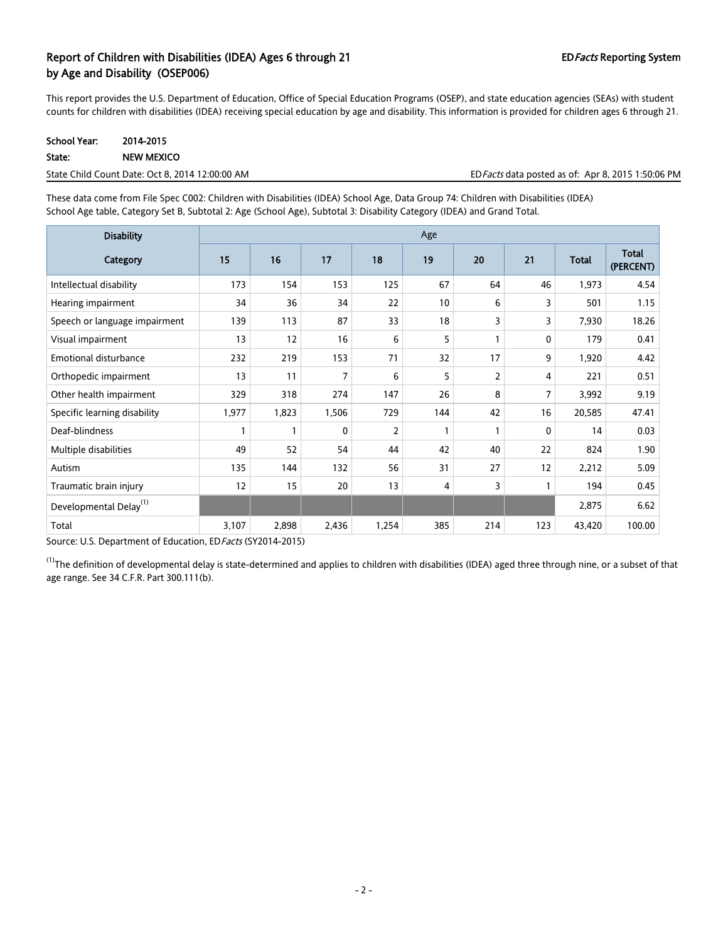## Report of Children with Disabilities (IDEA) Ages 6 through 21 EDFacts Reporting System by Age and Disability (OSEP006)

This report provides the U.S. Department of Education, Office of Special Education Programs (OSEP), and state education agencies (SEAs) with student counts for children with disabilities (IDEA) receiving special education by age and disability. This information is provided for children ages 6 through 21.

| <b>School Year:</b> | 2014-2015         |
|---------------------|-------------------|
| State:              | <b>NEW MEXICO</b> |

| ED Facts data posted as of: Apr 8, 2015 1:50:06 PM<br>State Child Count Date: Oct 8, 2014 12:00:00 AM |
|-------------------------------------------------------------------------------------------------------|
|-------------------------------------------------------------------------------------------------------|

These data come from File Spec C002: Children with Disabilities (IDEA) School Age, Data Group 74: Children with Disabilities (IDEA) School Age table, Category Set B, Subtotal 2: Age (School Age), Subtotal 3: Disability Category (IDEA) and Grand Total.

| <b>Disability</b>                  | Age   |              |       |                |     |              |     |              |                           |
|------------------------------------|-------|--------------|-------|----------------|-----|--------------|-----|--------------|---------------------------|
| Category                           | 15    | 16           | 17    | 18             | 19  | 20           | 21  | <b>Total</b> | <b>Total</b><br>(PERCENT) |
| Intellectual disability            | 173   | 154          | 153   | 125            | 67  | 64           | 46  | 1,973        | 4.54                      |
| Hearing impairment                 | 34    | 36           | 34    | 22             | 10  | 6            | 3   | 501          | 1.15                      |
| Speech or language impairment      | 139   | 113          | 87    | 33             | 18  | 3            | 3   | 7,930        | 18.26                     |
| Visual impairment                  | 13    | 12           | 16    | 6              | 5   |              | 0   | 179          | 0.41                      |
| <b>Emotional disturbance</b>       | 232   | 219          | 153   | 71             | 32  | 17           | 9   | 1,920        | 4.42                      |
| Orthopedic impairment              | 13    | 11           | 7     | 6              | 5   | 2            | 4   | 221          | 0.51                      |
| Other health impairment            | 329   | 318          | 274   | 147            | 26  | 8            | 7   | 3,992        | 9.19                      |
| Specific learning disability       | 1,977 | 1,823        | 1,506 | 729            | 144 | 42           | 16  | 20,585       | 47.41                     |
| Deaf-blindness                     |       | $\mathbf{1}$ | 0     | $\overline{2}$ | 1   | $\mathbf{1}$ | 0   | 14           | 0.03                      |
| Multiple disabilities              | 49    | 52           | 54    | 44             | 42  | 40           | 22  | 824          | 1.90                      |
| Autism                             | 135   | 144          | 132   | 56             | 31  | 27           | 12  | 2,212        | 5.09                      |
| Traumatic brain injury             | 12    | 15           | 20    | 13             | 4   | 3            |     | 194          | 0.45                      |
| Developmental Delay <sup>(1)</sup> |       |              |       |                |     |              |     | 2,875        | 6.62                      |
| Total                              | 3,107 | 2,898        | 2,436 | 1,254          | 385 | 214          | 123 | 43,420       | 100.00                    |

Source: U.S. Department of Education, ED Facts (SY2014-2015)

 $^{(1)}$ The definition of developmental delay is state-determined and applies to children with disabilities (IDEA) aged three through nine, or a subset of that age range. See 34 C.F.R. Part 300.111(b).